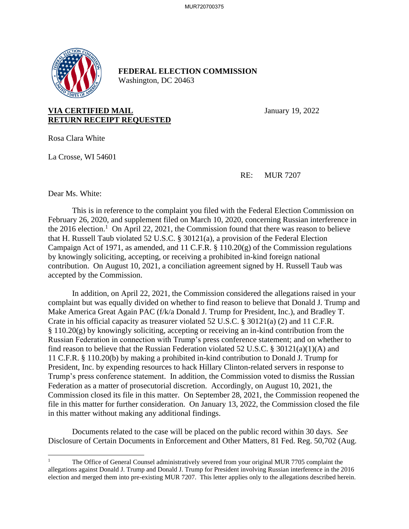

## **FEDERAL ELECTION COMMISSION** Washington, DC 20463

**VIA CERTIFIED MAIL** January 19, 2022 **RETURN RECEIPT REQUESTED**

Rosa Clara White

La Crosse, WI 54601

RE: MUR 7207

Dear Ms. White:

This is in reference to the complaint you filed with the Federal Election Commission on February 26, 2020, and supplement filed on March 10, 2020, concerning Russian interference in the 2016 election.<sup>1</sup> On April 22, 2021, the Commission found that there was reason to believe that H. Russell Taub violated 52 U.S.C. § 30121(a), a provision of the Federal Election Campaign Act of 1971, as amended, and 11 C.F.R. § 110.20(g) of the Commission regulations by knowingly soliciting, accepting, or receiving a prohibited in-kind foreign national contribution. On August 10, 2021, a conciliation agreement signed by H. Russell Taub was accepted by the Commission.

In addition, on April 22, 2021, the Commission considered the allegations raised in your complaint but was equally divided on whether to find reason to believe that Donald J. Trump and Make America Great Again PAC (f/k/a Donald J. Trump for President, Inc.), and Bradley T. Crate in his official capacity as treasurer violated 52 U.S.C. § 30121(a) (2) and 11 C.F.R. § 110.20(g) by knowingly soliciting, accepting or receiving an in-kind contribution from the Russian Federation in connection with Trump's press conference statement; and on whether to find reason to believe that the Russian Federation violated 52 U.S.C. § 30121(a)(1)(A) and 11 C.F.R. § 110.20(b) by making a prohibited in-kind contribution to Donald J. Trump for President, Inc. by expending resources to hack Hillary Clinton-related servers in response to Trump's press conference statement. In addition, the Commission voted to dismiss the Russian Federation as a matter of prosecutorial discretion. Accordingly, on August 10, 2021, the Commission closed its file in this matter. On September 28, 2021, the Commission reopened the file in this matter for further consideration. On January 13, 2022, the Commission closed the file in this matter without making any additional findings.

Documents related to the case will be placed on the public record within 30 days. *See*  Disclosure of Certain Documents in Enforcement and Other Matters*,* 81 Fed. Reg. 50,702 (Aug.

The Office of General Counsel administratively severed from your original MUR 7705 complaint the allegations against Donald J. Trump and Donald J. Trump for President involving Russian interference in the 2016 election and merged them into pre-existing MUR 7207. This letter applies only to the allegations described herein.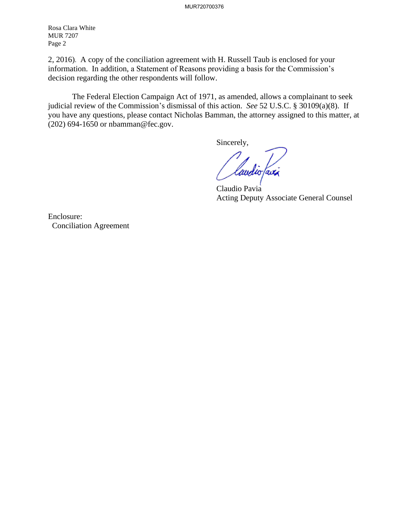Rosa Clara White MUR 7207 Page 2

2, 2016). A copy of the conciliation agreement with H. Russell Taub is enclosed for your information. In addition, a Statement of Reasons providing a basis for the Commission's decision regarding the other respondents will follow.

The Federal Election Campaign Act of 1971, as amended, allows a complainant to seek judicial review of the Commission's dismissal of this action. *See* 52 U.S.C. § 30109(a)(8). If you have any questions, please contact Nicholas Bamman, the attorney assigned to this matter, at (202) 694-1650 or nbamman@fec.gov.

Sincerely,

laudio favi

Claudio Pavia Acting Deputy Associate General Counsel

Enclosure: Conciliation Agreement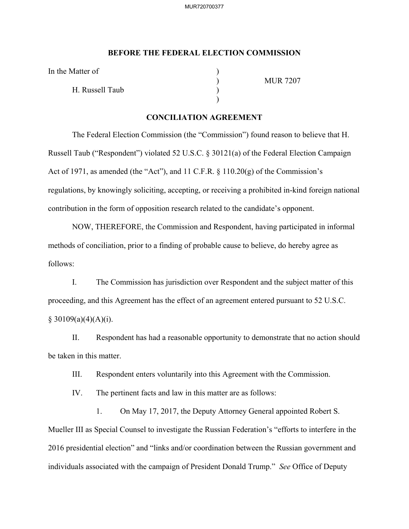## **BEFORE THE FEDERAL ELECTION COMMISSION**

In the Matter of

H. Russell Taub )

 $)$ 

) MUR 7207

## **CONCILIATION AGREEMENT**

The Federal Election Commission (the "Commission") found reason to believe that H. Russell Taub ("Respondent") violated 52 U.S.C. § 30121(a) of the Federal Election Campaign Act of 1971, as amended (the "Act"), and 11 C.F.R. § 110.20(g) of the Commission's regulations, by knowingly soliciting, accepting, or receiving a prohibited in-kind foreign national contribution in the form of opposition research related to the candidate's opponent.

NOW, THEREFORE, the Commission and Respondent, having participated in informal methods of conciliation, prior to a finding of probable cause to believe, do hereby agree as follows:

I. The Commission has jurisdiction over Respondent and the subject matter of this proceeding, and this Agreement has the effect of an agreement entered pursuant to 52 U.S.C.  $§ 30109(a)(4)(A)(i).$ 

II. Respondent has had a reasonable opportunity to demonstrate that no action should be taken in this matter.

III. Respondent enters voluntarily into this Agreement with the Commission.

IV. The pertinent facts and law in this matter are as follows:

1. On May 17, 2017, the Deputy Attorney General appointed Robert S. Mueller III as Special Counsel to investigate the Russian Federation's "efforts to interfere in the 2016 presidential election" and "links and/or coordination between the Russian government and individuals associated with the campaign of President Donald Trump." *See* Office of Deputy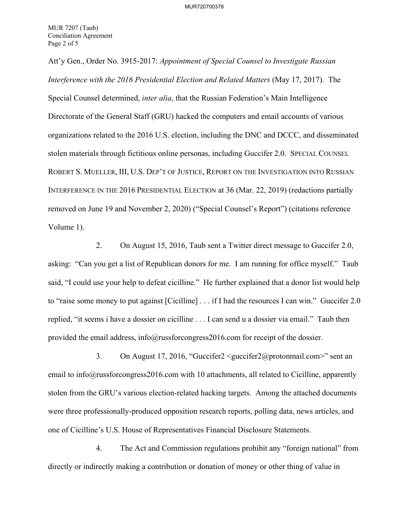Att'y Gen., Order No. 3915-2017: *Appointment of Special Counsel to Investigate Russian Interference with the 2016 Presidential Election and Related Matters* (May 17, 2017). The Special Counsel determined, *inter alia*, that the Russian Federation's Main Intelligence Directorate of the General Staff (GRU) hacked the computers and email accounts of various organizations related to the 2016 U.S. election, including the DNC and DCCC, and disseminated stolen materials through fictitious online personas, including Guccifer 2.0. SPECIAL COUNSEL ROBERT S. MUELLER, III, U.S. DEP'T OF JUSTICE, REPORT ON THE INVESTIGATION INTO RUSSIAN INTERFERENCE IN THE 2016 PRESIDENTIAL ELECTION at 36 (Mar. 22, 2019) (redactions partially removed on June 19 and November 2, 2020) ("Special Counsel's Report") (citations reference Volume 1).

2. On August 15, 2016, Taub sent a Twitter direct message to Guccifer 2.0, asking: "Can you get a list of Republican donors for me. I am running for office myself." Taub said, "I could use your help to defeat cicilline." He further explained that a donor list would help to "raise some money to put against [Cicilline] . . . if I had the resources I can win." Guccifer 2.0 replied, "it seems i have a dossier on cicilline . . . I can send u a dossier via email." Taub then provided the email address, info@russforcongress2016.com for receipt of the dossier.

3. On August 17, 2016, "Guccifer2 <guccifer2@protonmail.com>" sent an email to info@russforcongress2016.com with 10 attachments, all related to Cicilline, apparently stolen from the GRU's various election-related hacking targets. Among the attached documents were three professionally-produced opposition research reports, polling data, news articles, and one of Cicilline's U.S. House of Representatives Financial Disclosure Statements.

4. The Act and Commission regulations prohibit any "foreign national" from directly or indirectly making a contribution or donation of money or other thing of value in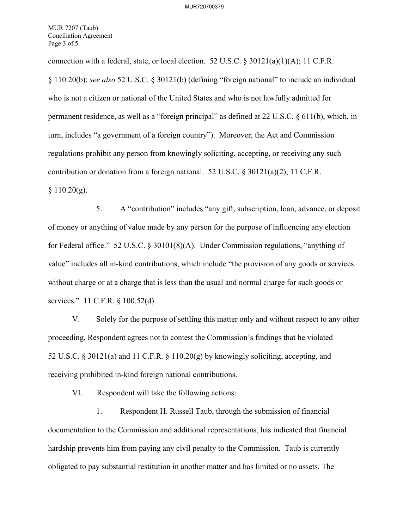MUR 7207 (Taub) Conciliation Agreement Page 3 of 5

connection with a federal, state, or local election. 52 U.S.C.  $\frac{830121(a)(1)(A)}{1}$ ; 11 C.F.R. § 110.20(b); *see also* 52 U.S.C. § 30121(b) (defining "foreign national" to include an individual who is not a citizen or national of the United States and who is not lawfully admitted for permanent residence, as well as a "foreign principal" as defined at 22 U.S.C. § 611(b), which, in turn, includes "a government of a foreign country"). Moreover, the Act and Commission regulations prohibit any person from knowingly soliciting, accepting, or receiving any such contribution or donation from a foreign national. 52 U.S.C. § 30121(a)(2); 11 C.F.R.  $§ 110.20(g).$ 

5. A "contribution" includes "any gift, subscription, loan, advance, or deposit of money or anything of value made by any person for the purpose of influencing any election for Federal office." 52 U.S.C. § 30101(8)(A). Under Commission regulations, "anything of value" includes all in-kind contributions, which include "the provision of any goods or services without charge or at a charge that is less than the usual and normal charge for such goods or services." 11 C.F.R. § 100.52(d).

V. Solely for the purpose of settling this matter only and without respect to any other proceeding, Respondent agrees not to contest the Commission's findings that he violated 52 U.S.C. § 30121(a) and 11 C.F.R. § 110.20(g) by knowingly soliciting, accepting, and receiving prohibited in-kind foreign national contributions.

VI. Respondent will take the following actions:

1. Respondent H. Russell Taub, through the submission of financial documentation to the Commission and additional representations, has indicated that financial hardship prevents him from paying any civil penalty to the Commission. Taub is currently obligated to pay substantial restitution in another matter and has limited or no assets. The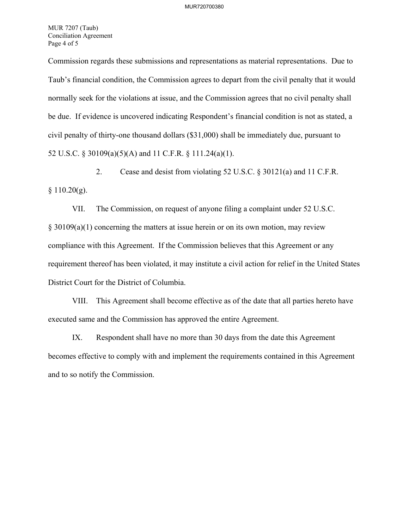MUR 7207 (Taub) Conciliation Agreement Page 4 of 5

Commission regards these submissions and representations as material representations. Due to Taub's financial condition, the Commission agrees to depart from the civil penalty that it would normally seek for the violations at issue, and the Commission agrees that no civil penalty shall be due. If evidence is uncovered indicating Respondent's financial condition is not as stated, a civil penalty of thirty-one thousand dollars (\$31,000) shall be immediately due, pursuant to 52 U.S.C. § 30109(a)(5)(A) and 11 C.F.R. § 111.24(a)(1).

2. Cease and desist from violating 52 U.S.C. § 30121(a) and 11 C.F.R.  $§ 110.20(g).$ 

VII. The Commission, on request of anyone filing a complaint under 52 U.S.C. § 30109(a)(1) concerning the matters at issue herein or on its own motion, may review compliance with this Agreement. If the Commission believes that this Agreement or any requirement thereof has been violated, it may institute a civil action for relief in the United States District Court for the District of Columbia.

VIII. This Agreement shall become effective as of the date that all parties hereto have executed same and the Commission has approved the entire Agreement.

IX. Respondent shall have no more than 30 days from the date this Agreement becomes effective to comply with and implement the requirements contained in this Agreement and to so notify the Commission.